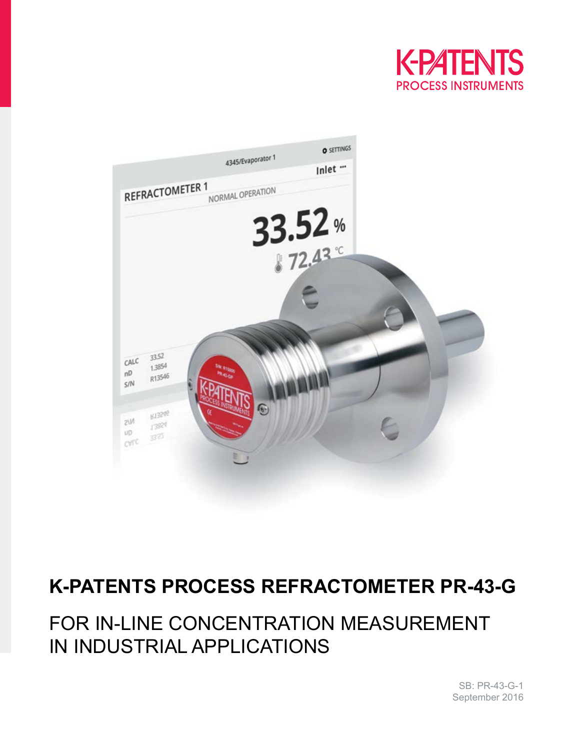



# **K-PATENTS PROCESS REFRACTOMETER PR-43-G**

# FOR IN-LINE CONCENTRATION MEASUREMENT IN INDUSTRIAL APPLICATIONS

SB: PR-43-G-1 September 2016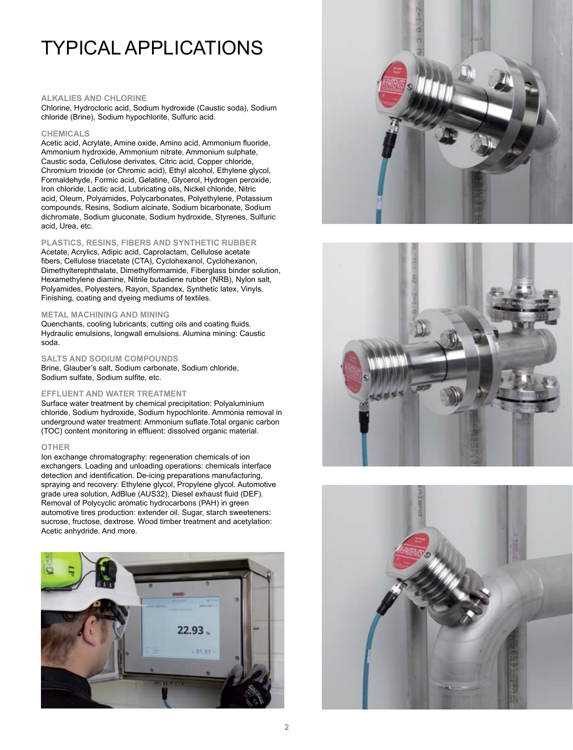# TYPICAL APPLICATIONS

### **ALKALIES AND CHLORINE**

Chlorine, Hydrocloric acid, Sodium hydroxide (Caustic soda), Sodium chloride (Brine), Sodium hypochlorite, Sulfuric acid.

#### **CHEMICALS**

Acetic acid, Acrylate, Amine oxide, Amino acid, Ammonium fluoride, Ammonium hydroxide, Ammonium nitrate, Ammonium sulphate, Caustic soda, Cellulose derivates, Citric acid, Copper chloride, Chromium trioxide (or Chromic acid), Ethyl alcohol, Ethylene glycol, Formaldehyde, Formic acid, Gelatine, Glycerol, Hydrogen peroxide, Iron chloride, Lactic acid, Lubricating oils, Nickel chloride, Nitric acid, Oleum, Polyamides, Polycarbonates, Polyethylene, Potassium compounds, Resins, Sodium alcinate, Sodium bicarbonate, Sodium dichromate, Sodium gluconate, Sodium hydroxide, Styrenes, Sulfuric acid, Urea, etc.

### **PLASTICS, RESINS, FIBERS AND SYNTHETIC RUBBER**

Acetate, Acrylics, Adipic acid, Caprolactam, Cellulose acetate fibers, Cellulose triacetate (CTA), Cyclohexanol, Cyclohexanon, Dimethylterephthalate, Dimethylformamide, Fiberglass binder solution, Hexamethylene diamine, Nitrile butadiene rubber (NRB), Nylon salt, Polyamides, Polyesters, Rayon, Spandex, Synthetic latex, Vinyls. Finishing, coating and dyeing mediums of textiles.

#### **METAL MACHINING AND MINING**

Quenchants, cooling lubricants, cutting oils and coating fluids. Hydraulic emulsions, longwall emulsions. Alumina mining: Caustic soda.

#### **SALTS AND SODIUM COMPOUNDS**

Brine, Glauber's salt, Sodium carbonate, Sodium chloride, Sodium sulfate, Sodium sulfite, etc.

#### **EFFLUENT AND WATER TREATMENT**

Surface water treatment by chemical precipitation: Polyaluminium chloride, Sodium hydroxide, Sodium hypochlorite. Ammonia removal in underground water treatment: Ammonium suflate.Total organic carbon (TOC) content monitoring in effluent: dissolved organic material.

#### **OTHER**

Ion exchange chromatography: regeneration chemicals of ion exchangers. Loading and unloading operations: chemicals interface detection and identification. De-icing preparations manufacturing, spraying and recovery: Ethylene glycol, Propylene glycol. Automotive grade urea solution, AdBlue (AUS32), Diesel exhaust fluid (DEF). Removal of Polycyclic aromatic hydrocarbons (PAH) in green automotive tires production: extender oil. Sugar, starch sweeteners: sucrose, fructose, dextrose. Wood timber treatment and acetylation: Acetic anhydride. And more.







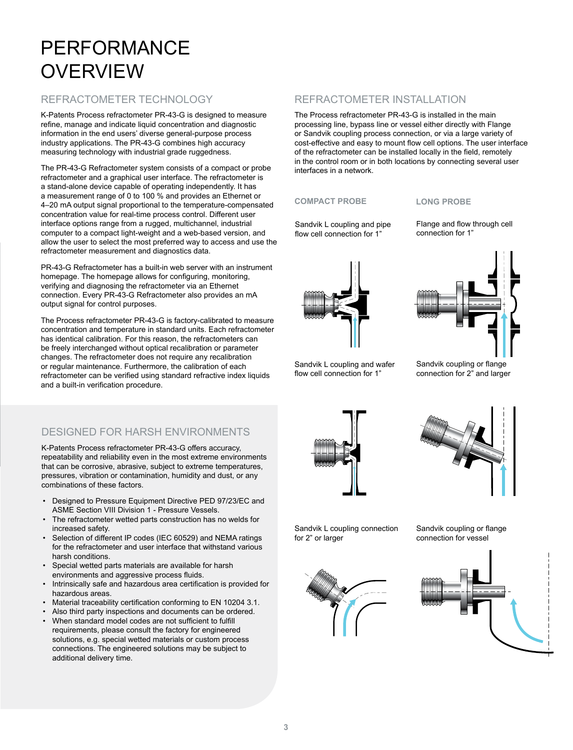# PERFORMANCE **OVERVIEW**

# REFRACTOMETER TECHNOLOGY

K-Patents Process refractometer PR-43-G is designed to measure refine, manage and indicate liquid concentration and diagnostic information in the end users' diverse general-purpose process industry applications. The PR-43-G combines high accuracy measuring technology with industrial grade ruggedness.

The PR-43-G Refractometer system consists of a compact or probe refractometer and a graphical user interface. The refractometer is a stand-alone device capable of operating independently. It has a measurement range of 0 to 100 % and provides an Ethernet or 4–20 mA output signal proportional to the temperature-compensated concentration value for real-time process control. Different user interface options range from a rugged, multichannel, industrial computer to a compact light-weight and a web-based version, and allow the user to select the most preferred way to access and use the refractometer measurement and diagnostics data.

PR-43-G Refractometer has a built-in web server with an instrument homepage. The homepage allows for configuring, monitoring, verifying and diagnosing the refractometer via an Ethernet connection. Every PR-43-G Refractometer also provides an mA output signal for control purposes.

The Process refractometer PR-43-G is factory-calibrated to measure concentration and temperature in standard units. Each refractometer has identical calibration. For this reason, the refractometers can be freely interchanged without optical recalibration or parameter changes. The refractometer does not require any recalibration or regular maintenance. Furthermore, the calibration of each refractometer can be verified using standard refractive index liquids and a built-in verification procedure.

# DESIGNED FOR HARSH ENVIRONMENTS

K-Patents Process refractometer PR-43-G offers accuracy, repeatability and reliability even in the most extreme environments that can be corrosive, abrasive, subject to extreme temperatures, pressures, vibration or contamination, humidity and dust, or any combinations of these factors.

- Designed to Pressure Equipment Directive PED 97/23/EC and ASME Section VIII Division 1 - Pressure Vessels.
- The refractometer wetted parts construction has no welds for increased safety.
- Selection of different IP codes (IEC 60529) and NEMA ratings for the refractometer and user interface that withstand various harsh conditions.
- Special wetted parts materials are available for harsh environments and aggressive process fluids.
- Intrinsically safe and hazardous area certification is provided for hazardous areas.
- Material traceability certification conforming to EN 10204 3.1.
- Also third party inspections and documents can be ordered.
- When standard model codes are not sufficient to fulfill requirements, please consult the factory for engineered solutions, e.g. special wetted materials or custom process connections. The engineered solutions may be subject to additional delivery time.

# REFRACTOMETER INSTALLATION

The Process refractometer PR-43-G is installed in the main processing line, bypass line or vessel either directly with Flange or Sandvik coupling process connection, or via a large variety of cost-effective and easy to mount flow cell options. The user interface of the refractometer can be installed locally in the field, remotely in the control room or in both locations by connecting several user interfaces in a network.

### **COMPACT PROBE**

Sandvik L coupling and pipe flow cell connection for 1"

**LONG PROBE**

Flange and flow through cell connection for 1"





Sandvik L coupling and wafer flow cell connection for 1"

Sandvik coupling or flange connection for 2" and larger





Sandvik L coupling connection for 2" or larger



Sandvik coupling or flange connection for vessel

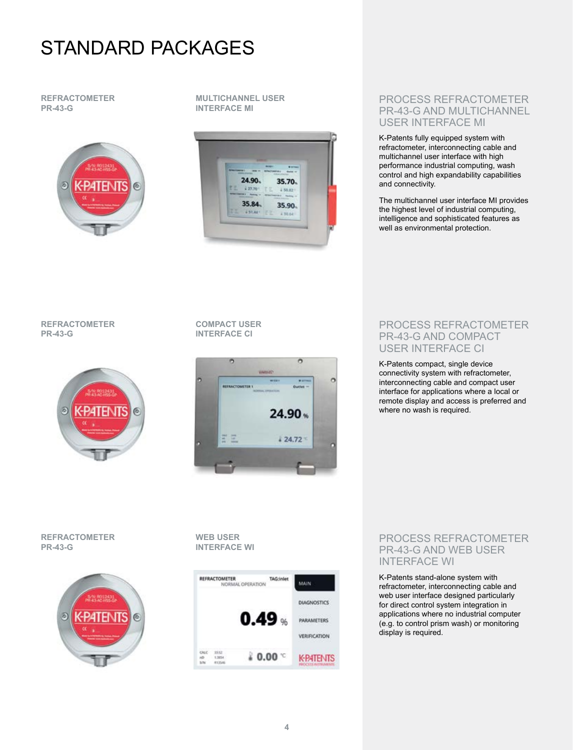# STANDARD PACKAGES

## **REFRACTOMETER PR-43-G**



### **MULTICHANNEL USER INTERFACE MI**



## PROCESS REFRACTOMETER PR-43-G AND MULTICHANNEL USER INTERFACE MI

K-Patents fully equipped system with refractometer, interconnecting cable and multichannel user interface with high performance industrial computing, wash control and high expandability capabilities and connectivity.

The multichannel user interface MI provides the highest level of industrial computing, intelligence and sophisticated features as well as environmental protection.

## **REFRACTOMETER PR-43-G**



## **COMPACT USER INTERFACE CI**



## PROCESS REFRACTOMETER PR-43-G AND COMPACT USER INTERFACE CI

K-Patents compact, single device connectivity system with refractometer, interconnecting cable and compact user interface for applications where a local or remote display and access is preferred and where no wash is required.

## **REFRACTOMETER PR-43-G**



**WEB USER INTERFACE WI**



## PROCESS REFRACTOMETER PR-43-G AND WEB USER INTERFACE WI

K-Patents stand-alone system with refractometer, interconnecting cable and web user interface designed particularly for direct control system integration in applications where no industrial computer (e.g. to control prism wash) or monitoring display is required.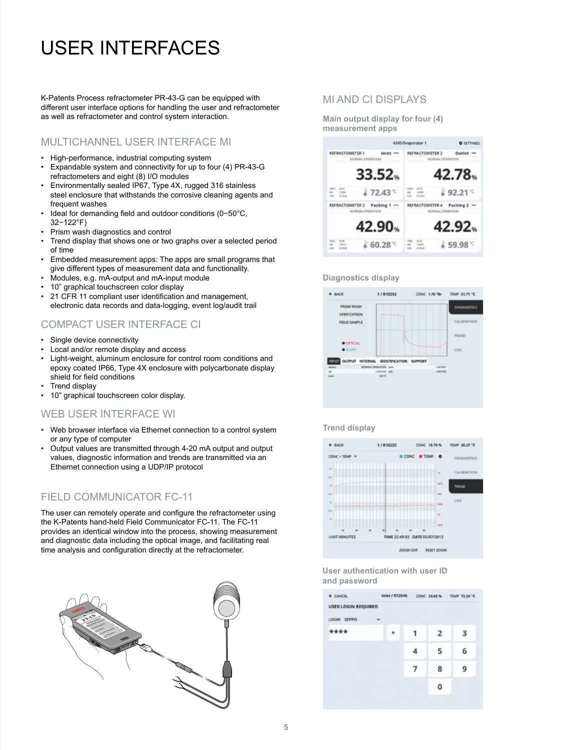# USER INTERFACES

K-Patents Process refractometer PR-43-G can be equipped with different user interface options for handling the user and refractometer as well as refractometer and control system interaction.

# MULTICHANNEL USER INTERFACE MI

- High-performance, industrial computing system
- Expandable system and connectivity for up to four (4) PR-43-G refractometers and eight (8) I/O modules
- Environmentally sealed IP67, Type 4X, rugged 316 stainless steel enclosure that withstands the corrosive cleaning agents and frequent washes
- Ideal for demanding field and outdoor conditions (0−50°C, 32−122°F)
- Prism wash diagnostics and control
- Trend display that shows one or two graphs over a selected period of time
- Embedded measurement apps: The apps are small programs that give different types of measurement data and functionality.
- Modules, e.g. mA-output and mA-input module
- 10" graphical touchscreen color display
- 21 CFR 11 compliant user identification and management, electronic data records and data-logging, event log/audit trail

# COMPACT USER INTERFACE CI

- Single device connectivity
- Local and/or remote display and access
- Light-weight, aluminum enclosure for control room conditions and epoxy coated IP66, Type 4X enclosure with polycarbonate display shield for field conditions
- Trend display
- 10" graphical touchscreen color display.

## WEB USER INTERFACE WI

- Web browser interface via Ethernet connection to a control system or any type of computer
- Output values are transmitted through 4-20 mA output and output values, diagnostic information and trends are transmitted via an Ethernet connection using a UDP/IP protocol

# FIELD COMMUNICATOR FC-11

The user can remotely operate and configure the refractometer using the K-Patents hand-held Field Communicator FC-11. The FC-11 provides an identical window into the process, showing measurement and diagnostic data including the optical image, and facilitating real time analysis and configuration directly at the refractometer.



## MI AND CI DISPLAYS

**Main output display for four (4) measurement apps**



### **Diagnostics display**



#### **Trend display**



#### **User authentication with user ID and password**

| + CANCEL                   | Inlet / R13546 |  |   |   | CONC 33.65 % TEMP 72.54 °C |
|----------------------------|----------------|--|---|---|----------------------------|
| <b>USER LOGIN REQUIRED</b> |                |  |   |   |                            |
| LOGIN SEPPO                | $\mathbf{v}$   |  |   |   |                            |
| ****                       |                |  |   | 2 |                            |
|                            |                |  |   | 5 | 6                          |
|                            |                |  | 7 | 8 | 9                          |
|                            |                |  |   | 0 |                            |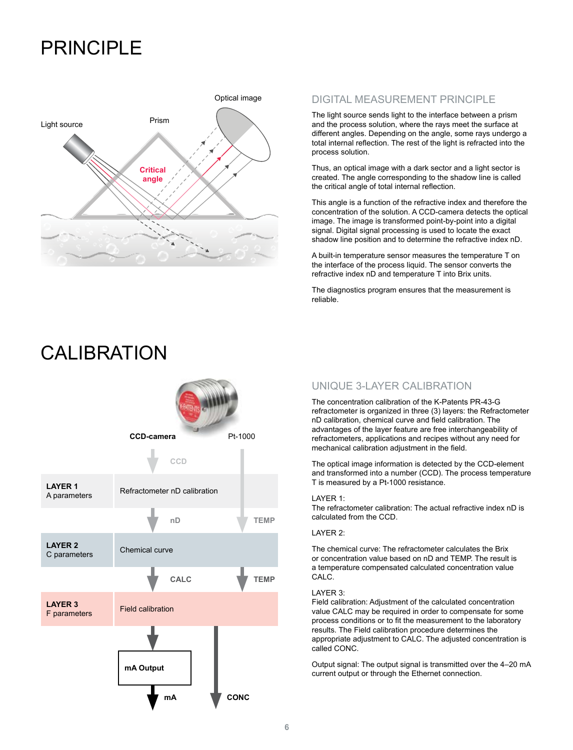# PRINCIPI F



# DIGITAL MEASUREMENT PRINCIPLE

The light source sends light to the interface between a prism and the process solution, where the rays meet the surface at different angles. Depending on the angle, some rays undergo a total internal reflection. The rest of the light is refracted into the process solution.

Thus, an optical image with a dark sector and a light sector is created. The angle corresponding to the shadow line is called the critical angle of total internal reflection.

This angle is a function of the refractive index and therefore the concentration of the solution. A CCD-camera detects the optical image. The image is transformed point-by-point into a digital signal. Digital signal processing is used to locate the exact shadow line position and to determine the refractive index nD.

A built-in temperature sensor measures the temperature T on the interface of the process liquid. The sensor converts the refractive index nD and temperature T into Brix units.

The diagnostics program ensures that the measurement is reliable.



# CAL **IBRATION**

# UNIQUE 3-LAYER CALIBRATION

The concentration calibration of the K-Patents PR-43-G refractometer is organized in three (3) layers: the Refractometer nD calibration, chemical curve and field calibration. The advantages of the layer feature are free interchangeability of refractometers, applications and recipes without any need for mechanical calibration adjustment in the field.

The optical image information is detected by the CCD-element and transformed into a number (CCD). The process temperature T is measured by a Pt-1000 resistance.

#### LAYER 1:

The refractometer calibration: The actual refractive index nD is calculated from the CCD.

#### LAYER 2:

The chemical curve: The refractometer calculates the Brix or concentration value based on nD and TEMP. The result is a temperature compensated calculated concentration value CALC.

#### LAYER 3:

Field calibration: Adjustment of the calculated concentration value CALC may be required in order to compensate for some process conditions or to fit the measurement to the laboratory results. The Field calibration procedure determines the appropriate adjustment to CALC. The adjusted concentration is called CONC.

Output signal: The output signal is transmitted over the 4–20 mA current output or through the Ethernet connection.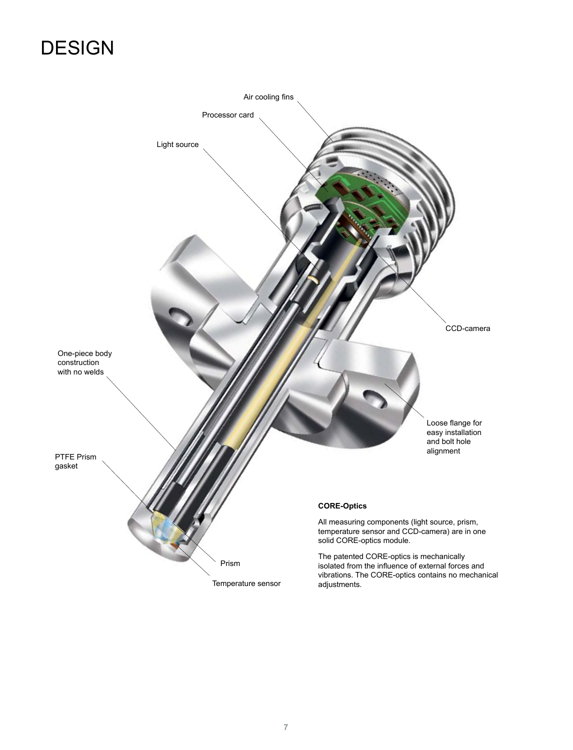# **DESIGN**